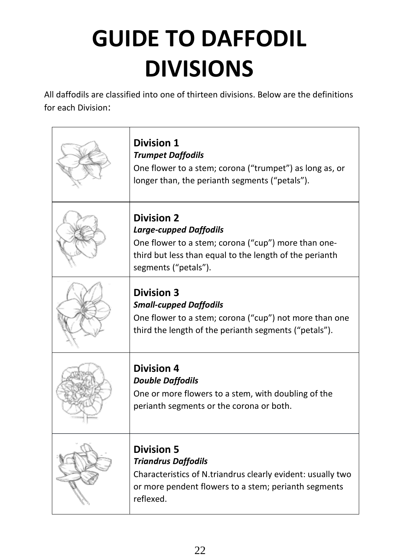# **GUIDE TO DAFFODIL DIVISIONS**

All daffodils are classified into one of thirteen divisions. Below are the definitions for each Division:

| <b>Division 1</b><br><b>Trumpet Daffodils</b><br>One flower to a stem; corona ("trumpet") as long as, or<br>longer than, the perianth segments ("petals").                                   |
|----------------------------------------------------------------------------------------------------------------------------------------------------------------------------------------------|
| <b>Division 2</b><br><b>Large-cupped Daffodils</b><br>One flower to a stem; corona ("cup") more than one-<br>third but less than equal to the length of the perianth<br>segments ("petals"). |
| <b>Division 3</b><br><b>Small-cupped Daffodils</b><br>One flower to a stem; corona ("cup") not more than one<br>third the length of the perianth segments ("petals").                        |
| <b>Division 4</b><br><b>Double Daffodils</b><br>One or more flowers to a stem, with doubling of the<br>perianth segments or the corona or both.                                              |
| <b>Division 5</b><br><b>Triandrus Daffodils</b><br>Characteristics of N.triandrus clearly evident: usually two<br>or more pendent flowers to a stem; perianth segments<br>reflexed.          |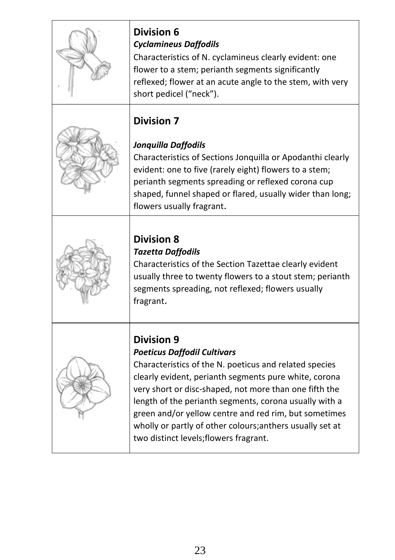| <b>Division 7</b><br>Jonquilla Daffodils<br>Characteristics of Sections Jonquilla or Apodanthi clearly<br>evident: one to five (rarely eight) flowers to a stem;<br>perianth segments spreading or reflexed corona cup<br>shaped, funnel shaped or flared, usually wider than long;<br>flowers usually fragrant.<br><b>Division 8</b><br><b>Tazetta Daffodils</b><br>Characteristics of the Section Tazettae clearly evident<br>usually three to twenty flowers to a stout stem; perianth<br>segments spreading, not reflexed; flowers usually<br>fragrant.<br><b>Division 9</b><br><b>Poeticus Daffodil Cultivars</b><br>Characteristics of the N. poeticus and related species | <b>Division 6</b><br><b>Cyclamineus Daffodils</b><br>Characteristics of N. cyclamineus clearly evident: one<br>flower to a stem; perianth segments significantly<br>reflexed; flower at an acute angle to the stem, with very<br>short pedicel ("neck"). |
|----------------------------------------------------------------------------------------------------------------------------------------------------------------------------------------------------------------------------------------------------------------------------------------------------------------------------------------------------------------------------------------------------------------------------------------------------------------------------------------------------------------------------------------------------------------------------------------------------------------------------------------------------------------------------------|----------------------------------------------------------------------------------------------------------------------------------------------------------------------------------------------------------------------------------------------------------|
|                                                                                                                                                                                                                                                                                                                                                                                                                                                                                                                                                                                                                                                                                  |                                                                                                                                                                                                                                                          |
|                                                                                                                                                                                                                                                                                                                                                                                                                                                                                                                                                                                                                                                                                  |                                                                                                                                                                                                                                                          |
| very short or disc-shaped, not more than one fifth the<br>length of the perianth segments, corona usually with a<br>green and/or yellow centre and red rim, but sometimes<br>wholly or partly of other colours; anthers usually set at<br>two distinct levels; flowers fragrant.                                                                                                                                                                                                                                                                                                                                                                                                 | clearly evident, perianth segments pure white, corona                                                                                                                                                                                                    |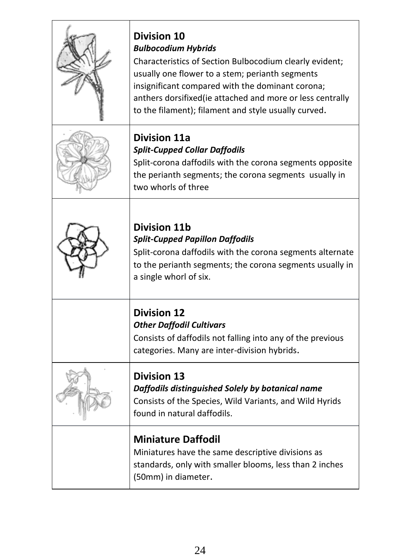| <b>Division 10</b><br><b>Bulbocodium Hybrids</b><br>Characteristics of Section Bulbocodium clearly evident;<br>usually one flower to a stem; perianth segments<br>insignificant compared with the dominant corona;<br>anthers dorsifixed (ie attached and more or less centrally<br>to the filament); filament and style usually curved. |
|------------------------------------------------------------------------------------------------------------------------------------------------------------------------------------------------------------------------------------------------------------------------------------------------------------------------------------------|
| <b>Division 11a</b><br><b>Split-Cupped Collar Daffodils</b><br>Split-corona daffodils with the corona segments opposite<br>the perianth segments; the corona segments usually in<br>two whorls of three                                                                                                                                  |
| <b>Division 11b</b><br><b>Split-Cupped Papillon Daffodils</b><br>Split-corona daffodils with the corona segments alternate<br>to the perianth segments; the corona segments usually in<br>a single whorl of six.                                                                                                                         |
| <b>Division 12</b><br><b>Other Daffodil Cultivars</b><br>Consists of daffodils not falling into any of the previous<br>categories. Many are inter-division hybrids.                                                                                                                                                                      |
| <b>Division 13</b><br>Daffodils distinguished Solely by botanical name<br>Consists of the Species, Wild Variants, and Wild Hyrids<br>found in natural daffodils.                                                                                                                                                                         |
| <b>Miniature Daffodil</b><br>Miniatures have the same descriptive divisions as<br>standards, only with smaller blooms, less than 2 inches<br>(50mm) in diameter.                                                                                                                                                                         |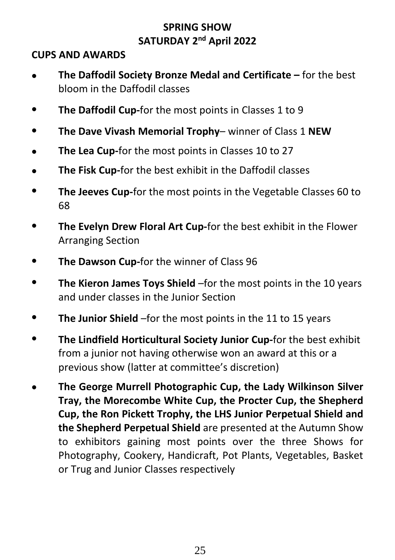## **SPRING SHOW SATURDAY 2 nd April 2022**

#### **CUPS AND AWARDS**

- **The Daffodil Society Bronze Medal and Certificate –** for the best bloom in the Daffodil classes
- **The Daffodil Cup-**for the most points in Classes 1 to 9
- **The Dave Vivash Memorial Trophy** winner of Class 1 **NEW**
- **The Lea Cup-**for the most points in Classes 10 to 27
- **The Fisk Cup-**for the best exhibit in the Daffodil classes
- **The Jeeves Cup-**for the most points in the Vegetable Classes 60 to 68
- **The Evelyn Drew Floral Art Cup-**for the best exhibit in the Flower Arranging Section
- **The Dawson Cup-**for the winner of Class 96
- **The Kieron James Toys Shield** –for the most points in the 10 years and under classes in the Junior Section
- **The Junior Shield** –for the most points in the 11 to 15 years
- **The Lindfield Horticultural Society Junior Cup-**for the best exhibit from a junior not having otherwise won an award at this or a previous show (latter at committee's discretion)
- **The George Murrell Photographic Cup, the Lady Wilkinson Silver Tray, the Morecombe White Cup, the Procter Cup, the Shepherd Cup, the Ron Pickett Trophy, the LHS Junior Perpetual Shield and the Shepherd Perpetual Shield** are presented at the Autumn Show to exhibitors gaining most points over the three Shows for Photography, Cookery, Handicraft, Pot Plants, Vegetables, Basket or Trug and Junior Classes respectively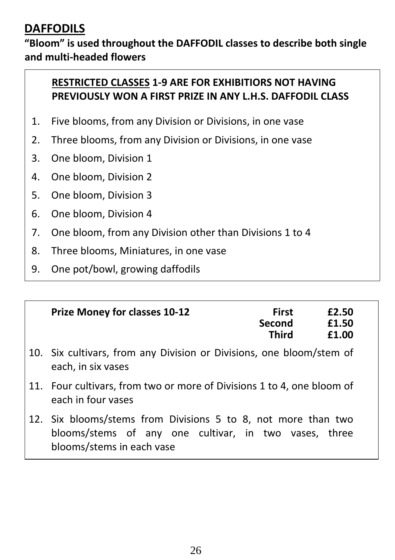# **DAFFODILS**

## **"Bloom" is used throughout the DAFFODIL classes to describe both single and multi-headed flowers**

## **RESTRICTED CLASSES 1-9 ARE FOR EXHIBITIORS NOT HAVING PREVIOUSLY WON A FIRST PRIZE IN ANY L.H.S. DAFFODIL CLASS**

- 1. Five blooms, from any Division or Divisions, in one vase
- 2. Three blooms, from any Division or Divisions, in one vase
- 3. One bloom, Division 1
- 4. One bloom, Division 2
- 5. One bloom, Division 3
- 6. One bloom, Division 4
- 7. One bloom, from any Division other than Divisions 1 to 4
- 8. Three blooms, Miniatures, in one vase
- 9. One pot/bowl, growing daffodils

| <b>Prize Money for classes 10-12</b> | <b>First</b> | £2.50 |
|--------------------------------------|--------------|-------|
|                                      | Second       | £1.50 |
|                                      | <b>Third</b> | £1.00 |

- 10. Six cultivars, from any Division or Divisions, one bloom/stem of each, in six vases
- 11. Four cultivars, from two or more of Divisions 1 to 4, one bloom of each in four vases
- 12. Six blooms/stems from Divisions 5 to 8, not more than two blooms/stems of any one cultivar, in two vases, three blooms/stems in each vase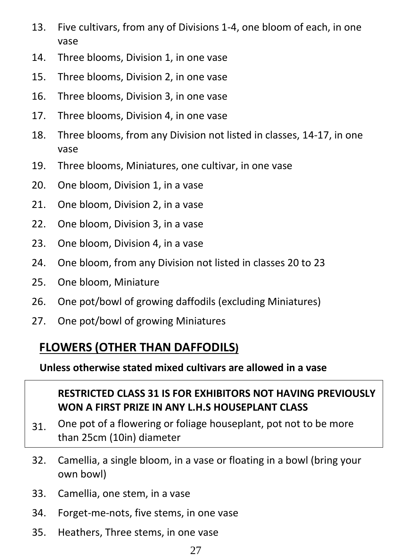- 13. Five cultivars, from any of Divisions 1-4, one bloom of each, in one vase
- 14. Three blooms, Division 1, in one vase
- 15. Three blooms, Division 2, in one vase
- 16. Three blooms, Division 3, in one vase
- 17. Three blooms, Division 4, in one vase
- 18. Three blooms, from any Division not listed in classes, 14-17, in one vase
- 19. Three blooms, Miniatures, one cultivar, in one vase
- 20. One bloom, Division 1, in a vase
- 21. One bloom, Division 2, in a vase
- 22. One bloom, Division 3, in a vase
- 23. One bloom, Division 4, in a vase
- 24. One bloom, from any Division not listed in classes 20 to 23
- 25. One bloom, Miniature
- 26. One pot/bowl of growing daffodils (excluding Miniatures)
- 27. One pot/bowl of growing Miniatures

## **FLOWERS (OTHER THAN DAFFODILS)**

**Unless otherwise stated mixed cultivars are allowed in a vase**

### **RESTRICTED CLASS 31 IS FOR EXHIBITORS NOT HAVING PREVIOUSLY WON A FIRST PRIZE IN ANY L.H.S HOUSEPLANT CLASS**

- 31. One pot of a flowering or foliage houseplant, pot not to be more than 25cm (10in) diameter
- 32. Camellia, a single bloom, in a vase or floating in a bowl (bring your own bowl)
- 33. Camellia, one stem, in a vase
- 34. Forget-me-nots, five stems, in one vase
- 35. Heathers, Three stems, in one vase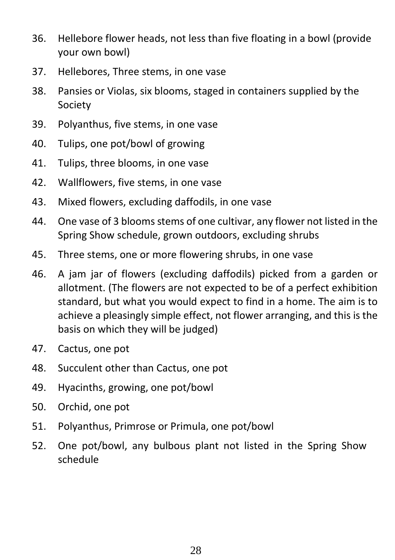- 36. Hellebore flower heads, not less than five floating in a bowl (provide your own bowl)
- 37. Hellebores, Three stems, in one vase
- 38. Pansies or Violas, six blooms, staged in containers supplied by the Society
- 39. Polyanthus, five stems, in one vase
- 40. Tulips, one pot/bowl of growing
- 41. Tulips, three blooms, in one vase
- 42. Wallflowers, five stems, in one vase
- 43. Mixed flowers, excluding daffodils, in one vase
- 44. One vase of 3 blooms stems of one cultivar, any flower not listed in the Spring Show schedule, grown outdoors, excluding shrubs
- 45. Three stems, one or more flowering shrubs, in one vase
- 46. A jam jar of flowers (excluding daffodils) picked from a garden or allotment. (The flowers are not expected to be of a perfect exhibition standard, but what you would expect to find in a home. The aim is to achieve a pleasingly simple effect, not flower arranging, and this is the basis on which they will be judged)
- 47. Cactus, one pot
- 48. Succulent other than Cactus, one pot
- 49. Hyacinths, growing, one pot/bowl
- 50. Orchid, one pot
- 51. Polyanthus, Primrose or Primula, one pot/bowl
- 52. One pot/bowl, any bulbous plant not listed in the Spring Show schedule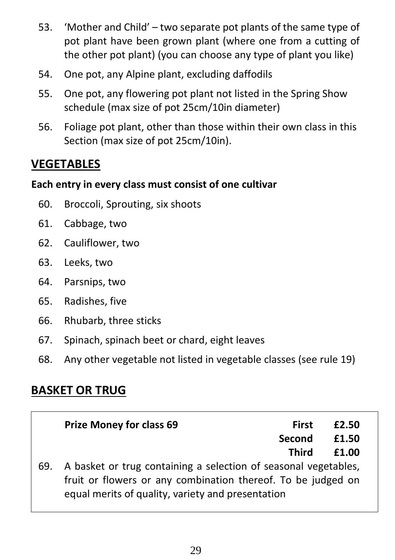- 53. 'Mother and Child' two separate pot plants of the same type of pot plant have been grown plant (where one from a cutting of the other pot plant) (you can choose any type of plant you like)
- 54. One pot, any Alpine plant, excluding daffodils
- 55. One pot, any flowering pot plant not listed in the Spring Show schedule (max size of pot 25cm/10in diameter)
- 56. Foliage pot plant, other than those within their own class in this Section (max size of pot 25cm/10in).

# **VEGETABLES**

## **Each entry in every class must consist of one cultivar**

- 60. Broccoli, Sprouting, six shoots
- 61. Cabbage, two
- 62. Cauliflower, two
- 63. Leeks, two
- 64. Parsnips, two
- 65. Radishes, five
- 66. Rhubarb, three sticks
- 67. Spinach, spinach beet or chard, eight leaves
- 68. Any other vegetable not listed in vegetable classes (see rule 19)

# **BASKET OR TRUG**

|     | <b>Prize Money for class 69</b>                                                                                                                                                      | First<br>Second<br><b>Third</b> | £2.50<br>£1.50<br>£1.00 |
|-----|--------------------------------------------------------------------------------------------------------------------------------------------------------------------------------------|---------------------------------|-------------------------|
| 69. | A basket or trug containing a selection of seasonal vegetables,<br>fruit or flowers or any combination thereof. To be judged on<br>equal merits of quality, variety and presentation |                                 |                         |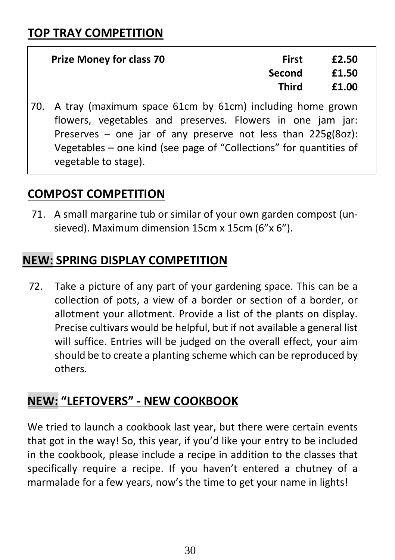| <b>Prize Money for class 70</b> | First         | £2.50 |
|---------------------------------|---------------|-------|
|                                 | <b>Second</b> | £1.50 |
|                                 | Third         | £1.00 |

70. A tray (maximum space 61cm by 61cm) including home grown flowers, vegetables and preserves. Flowers in one jam jar: Preserves – one jar of any preserve not less than 225g(8oz): Vegetables – one kind (see page of "Collections" for quantities of vegetable to stage).

## **COMPOST COMPETITION**

71. A small margarine tub or similar of your own garden compost (unsieved). Maximum dimension 15cm x 15cm (6"x 6").

# **NEW: SPRING DISPLAY COMPETITION**

 72. Take a picture of any part of your gardening space. This can be a collection of pots, a view of a border or section of a border, or allotment your allotment. Provide a list of the plants on display. Precise cultivars would be helpful, but if not available a general list will suffice. Entries will be judged on the overall effect, your aim should be to create a planting scheme which can be reproduced by others.

# **NEW: "LEFTOVERS" - NEW COOKBOOK**

We tried to launch a cookbook last year, but there were certain events that got in the way! So, this year, if you'd like your entry to be included in the cookbook, please include a recipe in addition to the classes that specifically require a recipe. If you haven't entered a chutney of a marmalade for a few years, now's the time to get your name in lights!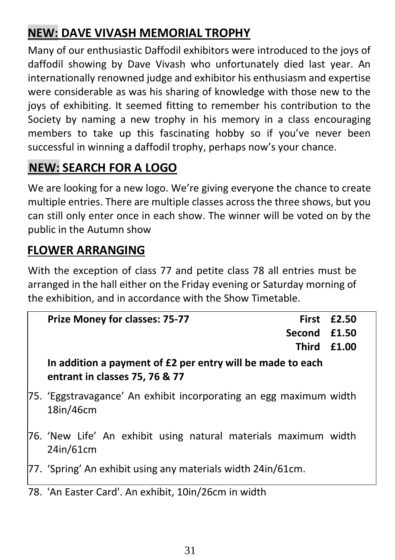# **NEW: DAVE VIVASH MEMORIAL TROPHY**

Many of our enthusiastic Daffodil exhibitors were introduced to the joys of daffodil showing by Dave Vivash who unfortunately died last year. An internationally renowned judge and exhibitor his enthusiasm and expertise were considerable as was his sharing of knowledge with those new to the joys of exhibiting. It seemed fitting to remember his contribution to the Society by naming a new trophy in his memory in a class encouraging members to take up this fascinating hobby so if you've never been successful in winning a daffodil trophy, perhaps now's your chance.

# **NEW: SEARCH FOR A LOGO**

We are looking for a new logo. We're giving everyone the chance to create multiple entries. There are multiple classes across the three shows, but you can still only enter once in each show. The winner will be voted on by the public in the Autumn show

## **FLOWER ARRANGING**

With the exception of class 77 and petite class 78 all entries must be arranged in the hall either on the Friday evening or Saturday morning of the exhibition, and in accordance with the Show Timetable.

| <b>Prize Money for classes: 75-77</b>                                                        |                    | First £2.50 |
|----------------------------------------------------------------------------------------------|--------------------|-------------|
|                                                                                              | Second £1.50       |             |
|                                                                                              | <b>Third £1.00</b> |             |
| In addition a payment of £2 per entry will be made to each<br>entrant in classes 75, 76 & 77 |                    |             |
| 75. 'Eggstravagance' An exhibit incorporating an egg maximum width<br>18in/46cm              |                    |             |
| 76. 'New Life' An exhibit using natural materials maximum width<br>24in/61cm                 |                    |             |
| 77. 'Spring' An exhibit using any materials width 24in/61cm.                                 |                    |             |

78. 'An Easter Card'. An exhibit, 10in/26cm in width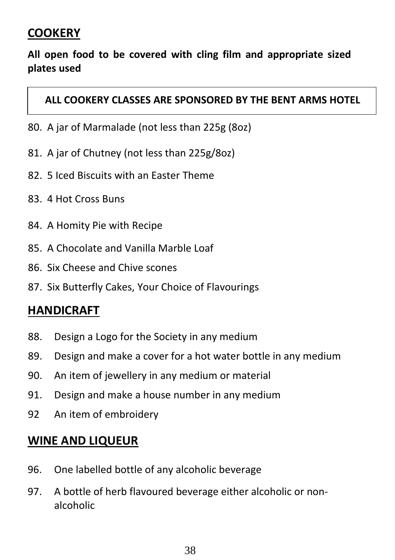## **COOKERY**

## **All open food to be covered with cling film and appropriate sized plates used**

#### **ALL COOKERY CLASSES ARE SPONSORED BY THE BENT ARMS HOTEL**

- 80. A jar of Marmalade (not less than 225g (8oz)
- 81. A jar of Chutney (not less than 225g/8oz)
- 82. 5 Iced Biscuits with an Easter Theme
- 83. 4 Hot Cross Buns
- 84. A Homity Pie with Recipe
- 85. A Chocolate and Vanilla Marble Loaf
- 86. Six Cheese and Chive scones
- 87. Six Butterfly Cakes, Your Choice of Flavourings

## **HANDICRAFT**

- 88. Design a Logo for the Society in any medium
- 89. Design and make a cover for a hot water bottle in any medium
- 90. An item of jewellery in any medium or material
- 91. Design and make a house number in any medium
- 92 An item of embroidery

## **WINE AND LIQUEUR**

- 96. One labelled bottle of any alcoholic beverage
- 97. A bottle of herb flavoured beverage either alcoholic or nonalcoholic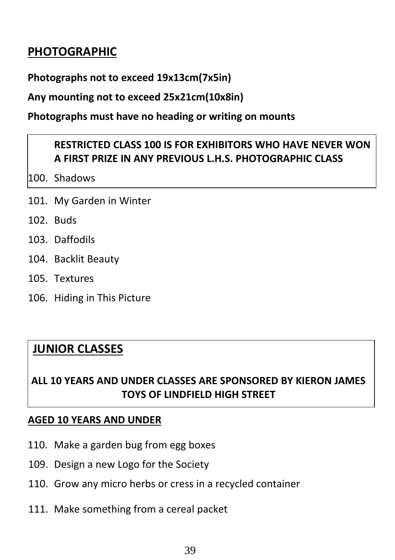# **PHOTOGRAPHIC**

**Photographs not to exceed 19x13cm(7x5in)**

#### **Any mounting not to exceed 25x21cm(10x8in)**

#### **Photographs must have no heading or writing on mounts**

## **RESTRICTED CLASS 100 IS FOR EXHIBITORS WHO HAVE NEVER WON A FIRST PRIZE IN ANY PREVIOUS L.H.S. PHOTOGRAPHIC CLASS**

100. Shadows

- 101. My Garden in Winter
- 102. Buds
- 103. Daffodils
- 104. Backlit Beauty
- 105. Textures
- 106. Hiding in This Picture

## **JUNIOR CLASSES**

## **ALL 10 YEARS AND UNDER CLASSES ARE SPONSORED BY KIERON JAMES TOYS OF LINDFIELD HIGH STREET**

#### **AGED 10 YEARS AND UNDER**

- 110. Make a garden bug from egg boxes
- 109. Design a new Logo for the Society
- 110. Grow any micro herbs or cress in a recycled container
- 111. Make something from a cereal packet